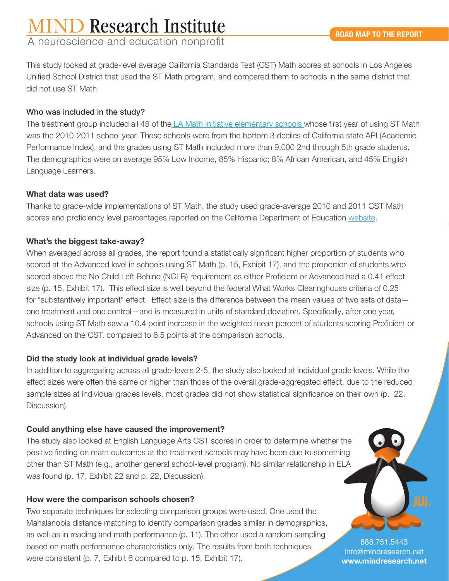# **IIND Research Institute**

A neuroscience and education nonprofit

This study looked at grade-level average California Standards Test (CST) Math scores at schools in Los Angeles Unified School District that used the ST Math program, and compared them to schools in the same district that did not use ST Math.

## Who was included in the study?

The treatment group included all 45 of the [LA Math Initiative elementary schools w](http://www.wested.org/resources/evaluation-of-st-math-in-the-los-angeles-unified-school-district/)hose first year of using ST Math was the 2010-2011 school year. These schools were from the bottom 3 deciles of California state API (Academic Performance Index), and the grades using ST Math included more than 9,000 2nd through 5th grade students. The demographics were on average 95% Low Income, 85% Hispanic; 8% African American, and 45% English Language Learners.

### What data was used?

Thanks to grade-wide implementations of ST Math, the study used grade-average 2010 and 2011 CST Math scores and proficiency level percentages reported on the California Department of Education [website.](http://star.cde.ca.gov/)

# What's the biggest take-away?

When averaged across all grades, the report found a statistically significant higher proportion of students who scored at the Advanced level in schools using ST Math (p. 15, Exhibit 17), and the proportion of students who scored above the No Child Left Behind (NCLB) requirement as either Proficient or Advanced had a 0.41 effect size (p. 15, Exhibit 17). This effect size is well beyond the federal What Works Clearinghouse criteria of 0.25 for "substantively important" effect. Effect size is the difference between the mean values of two sets of data one treatment and one control—and is measured in units of standard deviation. Specifically, after one year, schools using ST Math saw a 10.4 point increase in the weighted mean percent of students scoring Proficient or Advanced on the CST, compared to 6.5 points at the comparison schools.

# Did the study look at individual grade levels?

In addition to aggregating across all grade-levels 2-5, the study also looked at individual grade levels. While the effect sizes were often the same or higher than those of the overall grade-aggregated effect, due to the reduced sample sizes at individual grades levels, most grades did not show statistical significance on their own (p. 22, Discussion).

# Could anything else have caused the improvement?

The study also looked at English Language Arts CST scores in order to determine whether the positive finding on math outcomes at the treatment schools may have been due to something other than ST Math (e.g., another general school-level program). No similar relationship in ELA was found (p. 17, Exhibit 22 and p. 22, Discussion).

# How were the comparison schools chosen?

Two separate techniques for selecting comparison groups were used. One used the Mahalanobis distance matching to identify comparison grades similar in demographics, as well as in reading and math performance (p. 11). The other used a random sampling based on math performance characteristics only. The results from both techniques were consistent (p. 7, Exhibit 6 compared to p. 15, Exhibit 17).

888.751.5443 info@mindresearch.net **www.mindresearch.net**